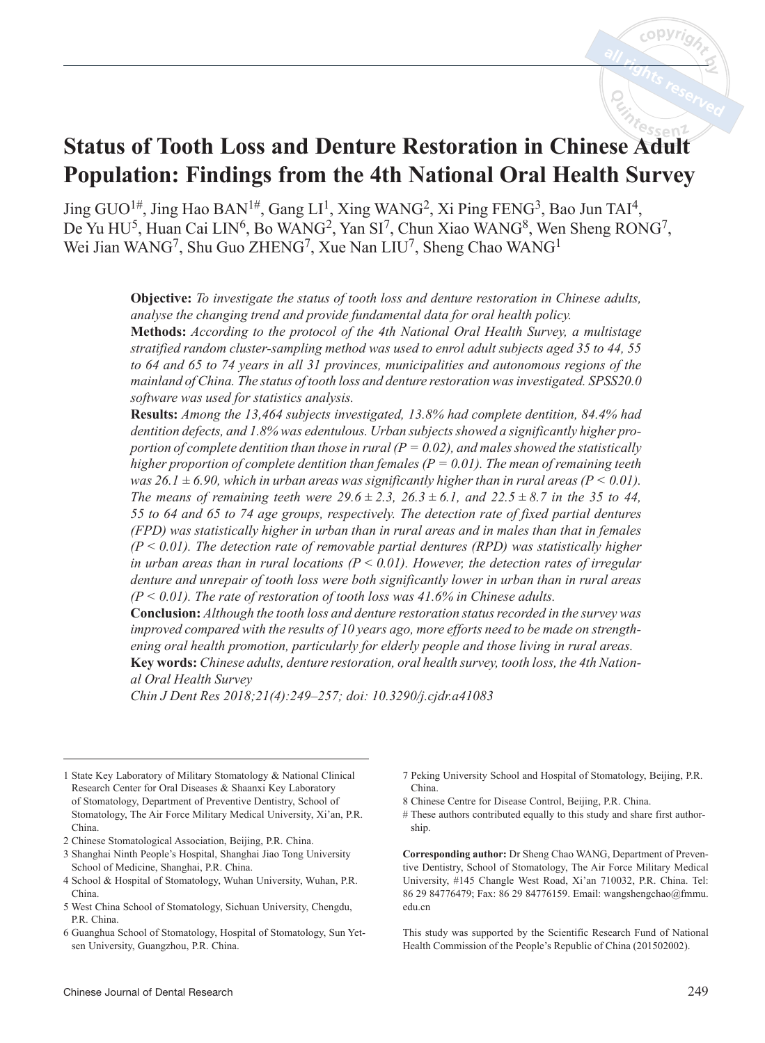# **Status of Tooth Loss and Denture Restoration in Chinese Adult Population: Findings from the 4th National Oral Health Survey**

Jing  $GUO^{1\#}$ , Jing Hao BAN<sup>1#</sup>, Gang LI<sup>1</sup>, Xing WANG<sup>2</sup>, Xi Ping FENG<sup>3</sup>, Bao Jun TAI<sup>4</sup>, De Yu HU<sup>5</sup>, Huan Cai LIN<sup>6</sup>, Bo WANG<sup>2</sup>, Yan SI<sup>7</sup>, Chun Xiao WANG<sup>8</sup>, Wen Sheng RONG<sup>7</sup>, Wei Jian WANG<sup>7</sup>, Shu Guo ZHENG<sup>7</sup>, Xue Nan LIU<sup>7</sup>, Sheng Chao WANG<sup>1</sup>

> **Objective:** *To investigate the status of tooth loss and denture restoration in Chinese adults, analyse the changing trend and provide fundamental data for oral health policy.* **Methods:** *According to the protocol of the 4th National Oral Health Survey, a multistage*

> *stratified random cluster-sampling method was used to enrol adult subjects aged 35 to 44, 55 to 64 and 65 to 74 years in all 31 provinces, municipalities and autonomous regions of the mainland of China. The status of tooth loss and denture restoration was investigated. SPSS20.0 software was used for statistics analysis.*

> **Results:** *Among the 13,464 subjects investigated, 13.8% had complete dentition, 84.4% had dentition defects, and 1.8% was edentulous. Urban subjects showed a significantly higher proportion of complete dentition than those in rural (* $P = 0.02$ *), and males showed the statistically higher proportion of complete dentition than females (* $P = 0.01$ *). The mean of remaining teeth was 26.1*  $\pm$  6.90, which in urban areas was significantly higher than in rural areas ( $P < 0.01$ ). *The means of remaining teeth were*  $29.6 \pm 2.3$ *,*  $26.3 \pm 6.1$ *, and*  $22.5 \pm 8.7$  *in the 35 to 44, 55 to 64 and 65 to 74 age groups, respectively. The detection rate of fixed partial dentures (FPD) was statistically higher in urban than in rural areas and in males than that in females (P < 0.01). The detection rate of removable partial dentures (RPD) was statistically higher*  in urban areas than in rural locations  $(P \le 0.01)$ . However, the detection rates of irregular *denture and unrepair of tooth loss were both significantly lower in urban than in rural areas (P < 0.01). The rate of restoration of tooth loss was 41.6% in Chinese adults.*

> **Conclusion:** *Although the tooth loss and denture restoration status recorded in the survey was improved compared with the results of 10 years ago, more efforts need to be made on strengthening oral health promotion, particularly for elderly people and those living in rural areas.* **Key words:** *Chinese adults, denture restoration, oral health survey, tooth loss, the 4th National Oral Health Survey*

*Chin J Dent Res 2018;21(4):249–257; doi: 10.3290/j.cjdr.a41083*

- 1 State Key Laboratory of Military Stomatology & National Clinical Research Center for Oral Diseases & Shaanxi Key Laboratory of Stomatology, Department of Preventive Dentistry, School of Stomatology, The Air Force Military Medical University, Xi'an, P.R. China.
- 2 Chinese Stomatological Association, Beijing, P.R. China.
- 3 Shanghai Ninth People's Hospital, Shanghai Jiao Tong University School of Medicine, Shanghai, P.R. China.
- 4 School & Hospital of Stomatology, Wuhan University, Wuhan, P.R. China.
- 5 West China School of Stomatology, Sichuan University, Chengdu, P.R. China.
- 6 Guanghua School of Stomatology, Hospital of Stomatology, Sun Yetsen University, Guangzhou, P.R. China.
- 7 Peking University School and Hospital of Stomatology, Beijing, P.R. China.
- 8 Chinese Centre for Disease Control, Beijing, P.R. China.
- # These authors contributed equally to this study and share first authorship.

**Corresponding author:** Dr Sheng Chao WANG, Department of Preventive Dentistry, School of Stomatology, The Air Force Military Medical University, #145 Changle West Road, Xi'an 710032, P.R. China. Tel: 86 29 84776479; Fax: 86 29 84776159. Email: wangshengchao@fmmu. edu.cn

This study was supported by the Scientific Research Fund of National Health Commission of the People's Republic of China (201502002).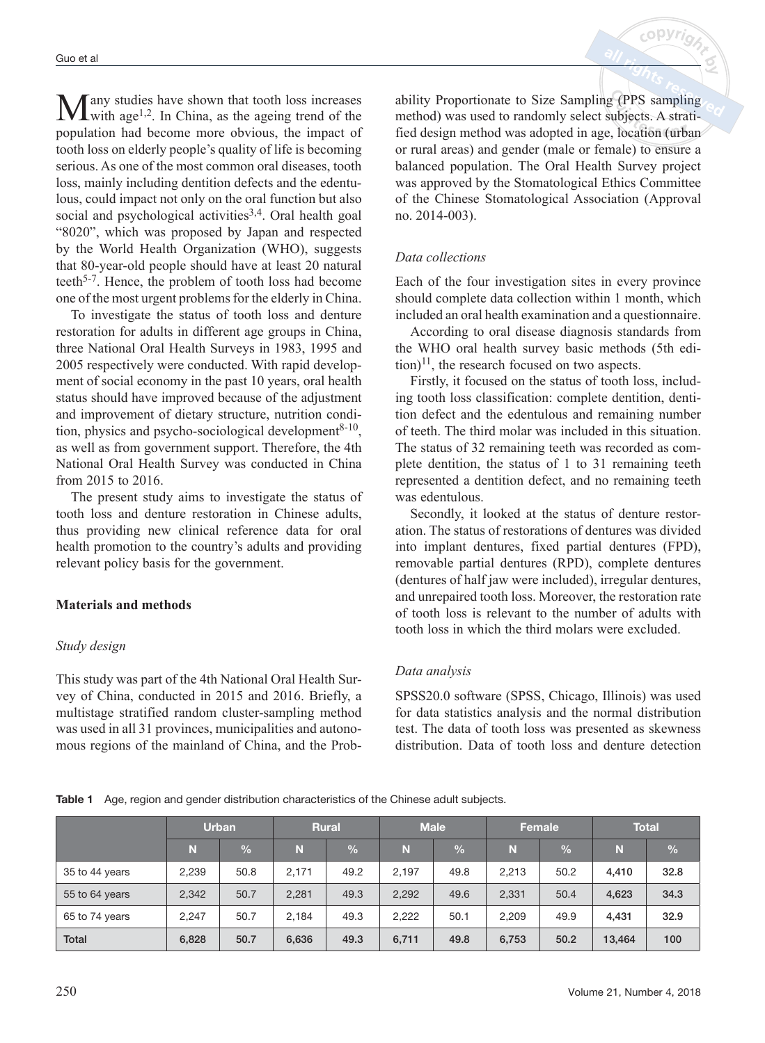$M$ any studies have shown that tooth loss increases with age<sup>1,2</sup>. In China, as the ageing trend of the population had become more obvious, the impact of tooth loss on elderly people's quality of life is becoming serious. As one of the most common oral diseases, tooth loss, mainly including dentition defects and the edentulous, could impact not only on the oral function but also social and psychological activities<sup>3,4</sup>. Oral health goal "8020", which was proposed by Japan and respected by the World Health Organization (WHO), suggests that 80-year-old people should have at least 20 natural teeth5-7. Hence, the problem of tooth loss had become one of the most urgent problems for the elderly in China.

To investigate the status of tooth loss and denture restoration for adults in different age groups in China, three National Oral Health Surveys in 1983, 1995 and 2005 respectively were conducted. With rapid development of social economy in the past 10 years, oral health status should have improved because of the adjustment and improvement of dietary structure, nutrition condition, physics and psycho-sociological development<sup>8-10</sup>, as well as from government support. Therefore, the 4th National Oral Health Survey was conducted in China from 2015 to 2016.

The present study aims to investigate the status of tooth loss and denture restoration in Chinese adults, thus providing new clinical reference data for oral health promotion to the country's adults and providing relevant policy basis for the government.

## **Materials and methods**

#### *Study design*

This study was part of the 4th National Oral Health Survey of China, conducted in 2015 and 2016. Briefly, a multistage stratified random cluster-sampling method was used in all 31 provinces, municipalities and autonomous regions of the mainland of China, and the Probability Proportionate to Size Sampling (PPS sampling method) was used to randomly select subjects. A stratified design method was adopted in age, location (urban or rural areas) and gender (male or female) to ensure a balanced population. The Oral Health Survey project was approved by the Stomatological Ethics Committee of the Chinese Stomatological Association (Approval no. 2014-003).

 $c$  ODVr.

## *Data collections*

Each of the four investigation sites in every province should complete data collection within 1 month, which included an oral health examination and a questionnaire.

According to oral disease diagnosis standards from the WHO oral health survey basic methods (5th edi- $\text{tion}^{11}$ , the research focused on two aspects.

Firstly, it focused on the status of tooth loss, including tooth loss classification: complete dentition, dentition defect and the edentulous and remaining number of teeth. The third molar was included in this situation. The status of 32 remaining teeth was recorded as complete dentition, the status of 1 to 31 remaining teeth represented a dentition defect, and no remaining teeth was edentulous.

Secondly, it looked at the status of denture restoration. The status of restorations of dentures was divided into implant dentures, fixed partial dentures (FPD), removable partial dentures (RPD), complete dentures (dentures of half jaw were included), irregular dentures, and unrepaired tooth loss. Moreover, the restoration rate of tooth loss is relevant to the number of adults with tooth loss in which the third molars were excluded.

## *Data analysis*

SPSS20.0 software (SPSS, Chicago, Illinois) was used for data statistics analysis and the normal distribution test. The data of tooth loss was presented as skewness distribution. Data of tooth loss and denture detection

**Table 1** Age, region and gender distribution characteristics of the Chinese adult subjects.

|                | <b>Urban</b> |               |       | <b>Rural</b>  | <b>Male</b> |               | Female |               | <b>Total</b> |               |
|----------------|--------------|---------------|-------|---------------|-------------|---------------|--------|---------------|--------------|---------------|
|                | N            | $\frac{0}{0}$ | N     | $\frac{1}{2}$ | N           | $\frac{0}{0}$ | N      | $\frac{0}{0}$ | N            | $\frac{0}{0}$ |
| 35 to 44 years | 2,239        | 50.8          | 2.171 | 49.2          | 2.197       | 49.8          | 2,213  | 50.2          | 4.410        | 32.8          |
| 55 to 64 years | 2,342        | 50.7          | 2,281 | 49.3          | 2,292       | 49.6          | 2,331  | 50.4          | 4,623        | 34.3          |
| 65 to 74 years | 2.247        | 50.7          | 2.184 | 49.3          | 2,222       | 50.1          | 2.209  | 49.9          | 4.431        | 32.9          |
| <b>Total</b>   | 6.828        | 50.7          | 6,636 | 49.3          | 6.711       | 49.8          | 6,753  | 50.2          | 13,464       | 100           |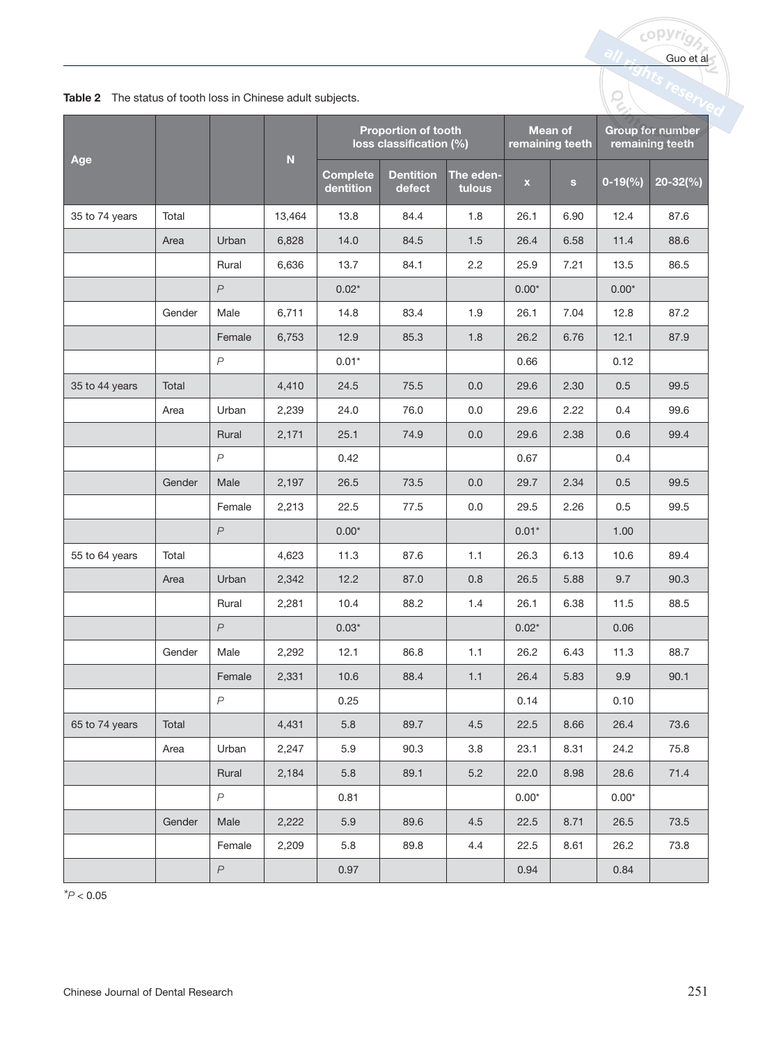|  | Table 2 The status of tooth loss in Chinese adult subjects. |  |
|--|-------------------------------------------------------------|--|
|--|-------------------------------------------------------------|--|

|                | <b>Table 2</b> The status of tooth loss in Chinese adult subjects. |                  |                           |                                                                                     |                            |                     |             |              |           |                                     |  |  |
|----------------|--------------------------------------------------------------------|------------------|---------------------------|-------------------------------------------------------------------------------------|----------------------------|---------------------|-------------|--------------|-----------|-------------------------------------|--|--|
|                |                                                                    |                  |                           | <b>Mean of</b><br>Proportion of tooth<br>loss classification (%)<br>remaining teeth |                            |                     |             |              |           | Group for number<br>remaining teeth |  |  |
| Age            |                                                                    |                  | $\boldsymbol{\mathsf{N}}$ | <b>Complete</b><br>dentition                                                        | <b>Dentition</b><br>defect | The eden-<br>tulous | $\mathbf x$ | $\mathbf{s}$ | $0-19(%)$ | $20 - 32\frac{6}{6}$                |  |  |
| 35 to 74 years | Total                                                              |                  | 13,464                    | 13.8                                                                                | 84.4                       | 1.8                 | 26.1        | 6.90         | 12.4      | 87.6                                |  |  |
|                | Area                                                               | Urban            | 6,828                     | 14.0                                                                                | 84.5                       | 1.5                 | 26.4        | 6.58         | 11.4      | 88.6                                |  |  |
|                |                                                                    | Rural            | 6,636                     | 13.7                                                                                | 84.1                       | 2.2                 | 25.9        | 7.21         | 13.5      | 86.5                                |  |  |
|                |                                                                    | $\overline{P}$   |                           | $0.02*$                                                                             |                            |                     | $0.00*$     |              | $0.00*$   |                                     |  |  |
|                | Gender                                                             | Male             | 6,711                     | 14.8                                                                                | 83.4                       | 1.9                 | 26.1        | 7.04         | 12.8      | 87.2                                |  |  |
|                |                                                                    | Female           | 6,753                     | 12.9                                                                                | 85.3                       | 1.8                 | 26.2        | 6.76         | 12.1      | 87.9                                |  |  |
|                |                                                                    | $\overline{P}$   |                           | $0.01*$                                                                             |                            |                     | 0.66        |              | 0.12      |                                     |  |  |
| 35 to 44 years | Total                                                              |                  | 4,410                     | 24.5                                                                                | 75.5                       | 0.0                 | 29.6        | 2.30         | 0.5       | 99.5                                |  |  |
|                | Area                                                               | Urban            | 2,239                     | 24.0                                                                                | 76.0                       | 0.0                 | 29.6        | 2.22         | 0.4       | 99.6                                |  |  |
|                |                                                                    | Rural            | 2,171                     | 25.1                                                                                | 74.9                       | 0.0                 | 29.6        | 2.38         | 0.6       | 99.4                                |  |  |
|                |                                                                    | $\overline{P}$   |                           | 0.42                                                                                |                            |                     | 0.67        |              | 0.4       |                                     |  |  |
|                | Gender                                                             | Male             | 2,197                     | 26.5                                                                                | 73.5                       | 0.0                 | 29.7        | 2.34         | 0.5       | 99.5                                |  |  |
|                |                                                                    | Female           | 2,213                     | 22.5                                                                                | 77.5                       | 0.0                 | 29.5        | 2.26         | 0.5       | 99.5                                |  |  |
|                |                                                                    | $\overline{P}$   |                           | $0.00*$                                                                             |                            |                     | $0.01*$     |              | 1.00      |                                     |  |  |
| 55 to 64 years | Total                                                              |                  | 4,623                     | 11.3                                                                                | 87.6                       | 1.1                 | 26.3        | 6.13         | 10.6      | 89.4                                |  |  |
|                | Area                                                               | Urban            | 2,342                     | 12.2                                                                                | 87.0                       | 0.8                 | 26.5        | 5.88         | 9.7       | 90.3                                |  |  |
|                |                                                                    | Rural            | 2,281                     | 10.4                                                                                | 88.2                       | 1.4                 | 26.1        | 6.38         | 11.5      | 88.5                                |  |  |
|                |                                                                    | $\overline{P}$   |                           | $0.03*$                                                                             |                            |                     | $0.02*$     |              | 0.06      |                                     |  |  |
|                | Gender                                                             | Male             | 2,292                     | 12.1                                                                                | 86.8                       | 1.1                 | 26.2        | 6.43         | 11.3      | 88.7                                |  |  |
|                |                                                                    | Female           | 2,331                     | 10.6                                                                                | 88.4                       | 1.1                 | 26.4        | 5.83         | 9.9       | 90.1                                |  |  |
|                |                                                                    | $\boldsymbol{P}$ |                           | 0.25                                                                                |                            |                     | 0.14        |              | 0.10      |                                     |  |  |
| 65 to 74 years | Total                                                              |                  | 4,431                     | 5.8                                                                                 | 89.7                       | 4.5                 | 22.5        | 8.66         | 26.4      | 73.6                                |  |  |
|                | Area                                                               | Urban            | 2,247                     | 5.9                                                                                 | 90.3                       | 3.8                 | 23.1        | 8.31         | 24.2      | 75.8                                |  |  |
|                |                                                                    | Rural            | 2,184                     | $5.8\,$                                                                             | 89.1                       | $5.2\,$             | 22.0        | 8.98         | 28.6      | 71.4                                |  |  |
|                |                                                                    | $\overline{P}$   |                           | 0.81                                                                                |                            |                     | $0.00*$     |              | $0.00*$   |                                     |  |  |
|                | Gender                                                             | Male             | 2,222                     | $5.9\,$                                                                             | 89.6                       | 4.5                 | 22.5        | 8.71         | 26.5      | 73.5                                |  |  |
|                |                                                                    | Female           | 2,209                     | 5.8                                                                                 | 89.8                       | 4.4                 | 22.5        | 8.61         | 26.2      | 73.8                                |  |  |
|                |                                                                    | $\boldsymbol{P}$ |                           | 0.97                                                                                |                            |                     | 0.94        |              | 0.84      |                                     |  |  |

 $*$  $P < 0.05$ 

Guo et al

Q

copyrigh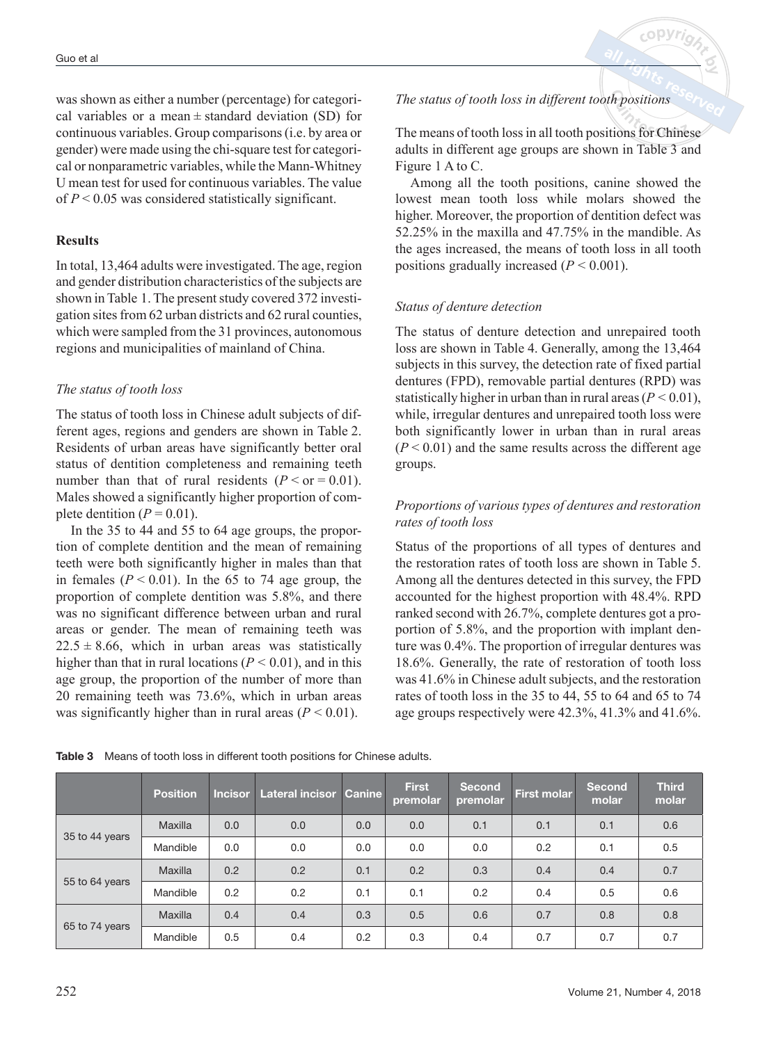was shown as either a number (percentage) for categorical variables or a mean  $\pm$  standard deviation (SD) for continuous variables. Group comparisons (i.e. by area or gender) were made using the chi-square test for categorical or nonparametric variables, while the Mann-Whitney U mean test for used for continuous variables. The value of *P* < 0.05 was considered statistically significant.

## **Results**

In total, 13,464 adults were investigated. The age, region and gender distribution characteristics of the subjects are shown in Table 1. The present study covered 372 investigation sites from 62 urban districts and 62 rural counties, which were sampled from the 31 provinces, autonomous regions and municipalities of mainland of China.

## *The status of tooth loss*

The status of tooth loss in Chinese adult subjects of different ages, regions and genders are shown in Table 2. Residents of urban areas have significantly better oral status of dentition completeness and remaining teeth number than that of rural residents  $(P < or = 0.01)$ . Males showed a significantly higher proportion of complete dentition  $(P = 0.01)$ .

In the 35 to 44 and 55 to 64 age groups, the proportion of complete dentition and the mean of remaining teeth were both significantly higher in males than that in females  $(P < 0.01)$ . In the 65 to 74 age group, the proportion of complete dentition was 5.8%, and there was no significant difference between urban and rural areas or gender. The mean of remaining teeth was  $22.5 \pm 8.66$ , which in urban areas was statistically higher than that in rural locations  $(P < 0.01)$ , and in this age group, the proportion of the number of more than 20 remaining teeth was 73.6%, which in urban areas was significantly higher than in rural areas  $(P < 0.01)$ .

# *The status of tooth loss in different tooth positions*

The means of tooth loss in all tooth positions for Chinese adults in different age groups are shown in Table 3 and Figure 1 A to C.

Among all the tooth positions, canine showed the lowest mean tooth loss while molars showed the higher. Moreover, the proportion of dentition defect was 52.25% in the maxilla and 47.75% in the mandible. As the ages increased, the means of tooth loss in all tooth positions gradually increased (*P* < 0.001).

## *Status of denture detection*

The status of denture detection and unrepaired tooth loss are shown in Table 4. Generally, among the 13,464 subjects in this survey, the detection rate of fixed partial dentures (FPD), removable partial dentures (RPD) was statistically higher in urban than in rural areas  $(P < 0.01)$ , while, irregular dentures and unrepaired tooth loss were both significantly lower in urban than in rural areas  $(P < 0.01)$  and the same results across the different age groups.

# *Proportions of various types of dentures and restoration rates of tooth loss*

Status of the proportions of all types of dentures and the restoration rates of tooth loss are shown in Table 5. Among all the dentures detected in this survey, the FPD accounted for the highest proportion with 48.4%. RPD ranked second with 26.7%, complete dentures got a proportion of 5.8%, and the proportion with implant denture was 0.4%. The proportion of irregular dentures was 18.6%. Generally, the rate of restoration of tooth loss was 41.6% in Chinese adult subjects, and the restoration rates of tooth loss in the 35 to 44, 55 to 64 and 65 to 74 age groups respectively were 42.3%, 41.3% and 41.6%.

|                | <b>Position</b> | <b>Incisor</b> | Lateral incisor Canine |     | <b>First</b><br>premolar | Second<br>premolar | <b>First molar</b> | <b>Second</b><br>molar | <b>Third</b><br>molar |
|----------------|-----------------|----------------|------------------------|-----|--------------------------|--------------------|--------------------|------------------------|-----------------------|
|                | Maxilla         | 0.0            | 0.0                    | 0.0 | 0.0                      | 0.1                | 0.1                | 0.1                    | 0.6                   |
| 35 to 44 years | Mandible        | 0.0            | 0.0                    | 0.0 | 0.0                      | 0.0                | 0.2                | 0.1                    | 0.5                   |
| 55 to 64 years | Maxilla         | 0.2            | 0.2                    | 0.1 | 0.2                      | 0.3                | 0.4                | 0.4                    | 0.7                   |
|                | Mandible        | 0.2            | 0.2                    | 0.1 | 0.1                      | 0.2                | 0.4                | 0.5                    | 0.6                   |
| 65 to 74 years | Maxilla         | 0.4            | 0.4                    | 0.3 | 0.5                      | 0.6                | 0.7                | 0.8                    | 0.8                   |
|                | Mandible        | 0.5            | 0.4                    | 0.2 | 0.3                      | 0.4                | 0.7                | 0.7                    | 0.7                   |

**Table 3** Means of tooth loss in different tooth positions for Chinese adults.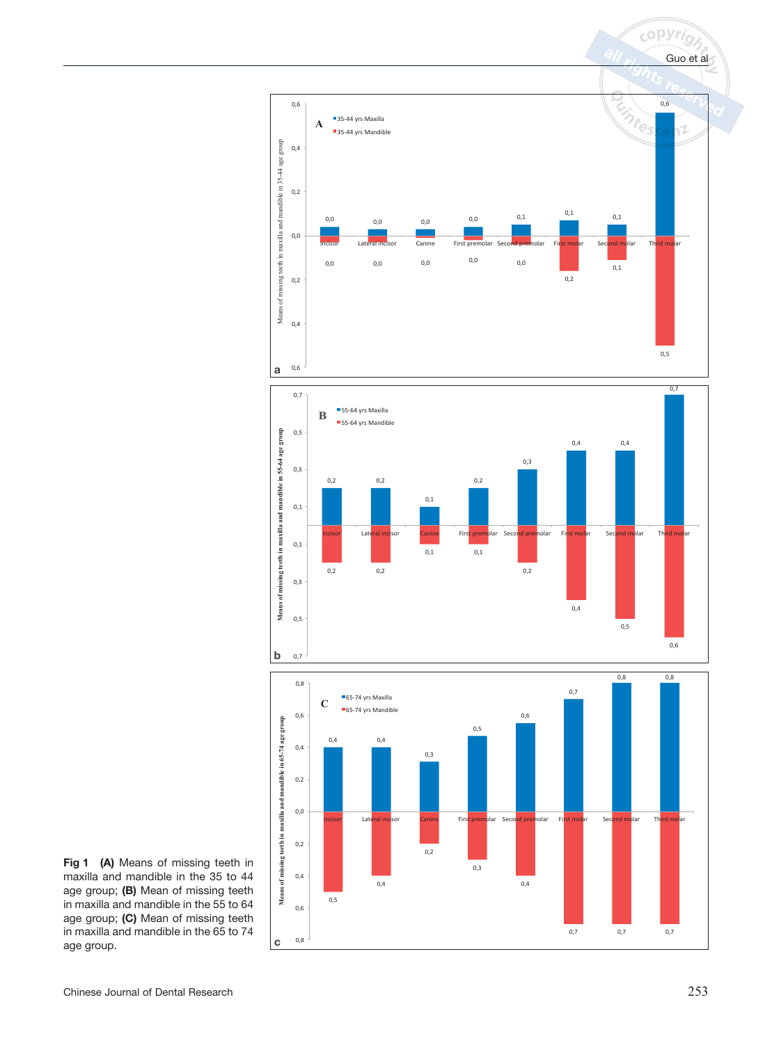

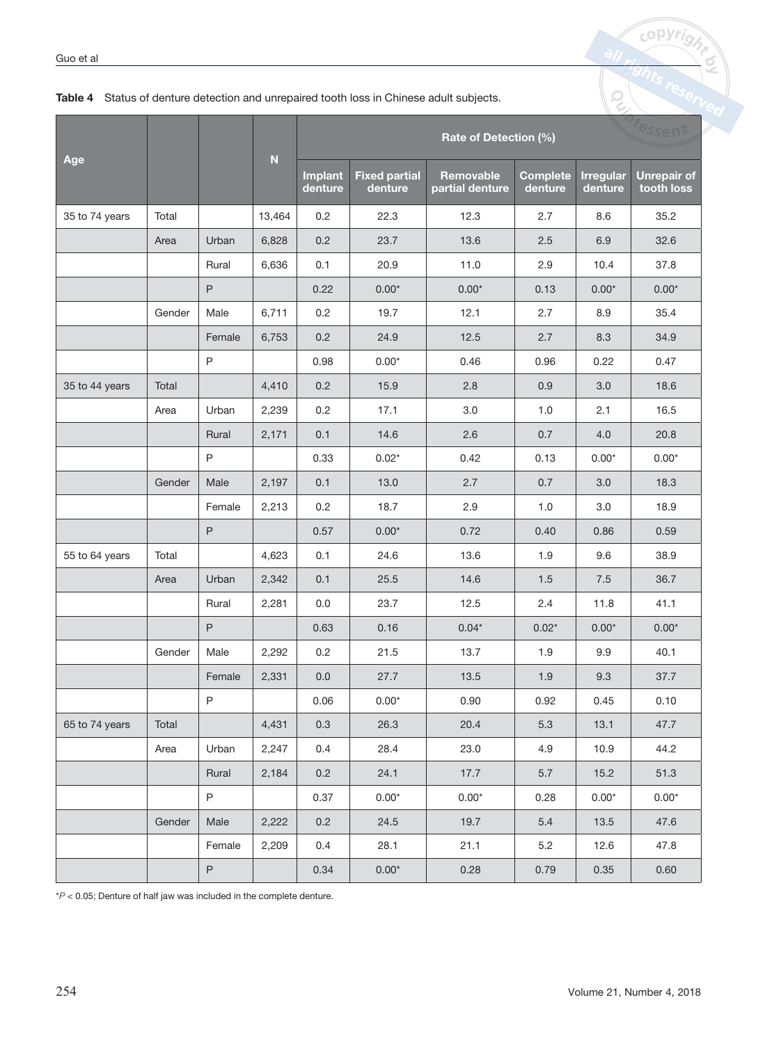|                |        |              | ${\bf N}$ |                    |                                 | Tessent                             |                            |                             |                                  |
|----------------|--------|--------------|-----------|--------------------|---------------------------------|-------------------------------------|----------------------------|-----------------------------|----------------------------------|
| Age            |        |              |           | Implant<br>denture | <b>Fixed partial</b><br>denture | <b>Removable</b><br>partial denture | <b>Complete</b><br>denture | <b>Irregular</b><br>denture | <b>Unrepair of</b><br>tooth loss |
| 35 to 74 years | Total  |              | 13,464    | 0.2                | 22.3                            | 12.3                                | 2.7                        | 8.6                         | 35.2                             |
|                | Area   | Urban        | 6,828     | 0.2                | 23.7                            | 13.6                                | 2.5                        | 6.9                         | 32.6                             |
|                |        | Rural        | 6,636     | 0.1                | 20.9                            | 11.0                                | 2.9                        | 10.4                        | 37.8                             |
|                |        | $\mathsf{P}$ |           | 0.22               | $0.00*$                         | $0.00*$                             | 0.13                       | $0.00*$                     | $0.00*$                          |
|                | Gender | Male         | 6,711     | 0.2                | 19.7                            | 12.1                                | 2.7                        | 8.9                         | 35.4                             |
|                |        | Female       | 6,753     | 0.2                | 24.9                            | 12.5                                | 2.7                        | 8.3                         | 34.9                             |
|                |        | $\mathsf{P}$ |           | 0.98               | $0.00*$                         | 0.46                                | 0.96                       | 0.22                        | 0.47                             |
| 35 to 44 years | Total  |              | 4,410     | 0.2                | 15.9                            | 2.8                                 | 0.9                        | 3.0                         | 18.6                             |
|                | Area   | Urban        | 2,239     | 0.2                | 17.1                            | 3.0                                 | 1.0                        | 2.1                         | 16.5                             |
|                |        | Rural        | 2,171     | 0.1                | 14.6                            | 2.6                                 | 0.7                        | 4.0                         | 20.8                             |
|                |        | $\mathsf{P}$ |           | 0.33               | $0.02*$                         | 0.42                                | 0.13                       | $0.00*$                     | $0.00*$                          |
|                | Gender | Male         | 2,197     | 0.1                | 13.0                            | 2.7                                 | 0.7                        | 3.0                         | 18.3                             |
|                |        | Female       | 2,213     | 0.2                | 18.7                            | 2.9                                 | 1.0                        | 3.0                         | 18.9                             |
|                |        | $\mathsf{P}$ |           | 0.57               | $0.00*$                         | 0.72                                | 0.40                       | 0.86                        | 0.59                             |
| 55 to 64 years | Total  |              | 4,623     | 0.1                | 24.6                            | 13.6                                | 1.9                        | 9.6                         | 38.9                             |
|                | Area   | Urban        | 2,342     | 0.1                | 25.5                            | 14.6                                | 1.5                        | 7.5                         | 36.7                             |
|                |        | Rural        | 2,281     | 0.0                | 23.7                            | 12.5                                | 2.4                        | 11.8                        | 41.1                             |
|                |        | P            |           | 0.63               | 0.16                            | $0.04*$                             | $0.02*$                    | $0.00*$                     | $0.00*$                          |
|                | Gender | Male         | 2,292     | 0.2                | 21.5                            | 13.7                                | 1.9                        | 9.9                         | 40.1                             |
|                |        | Female       | 2,331     | 0.0                | 27.7                            | 13.5                                | 1.9                        | 9.3                         | 37.7                             |
|                |        | P            |           | 0.06               | $0.00*$                         | 0.90                                | 0.92                       | 0.45                        | 0.10                             |
| 65 to 74 years | Total  |              | 4,431     | 0.3                | 26.3                            | 20.4                                | 5.3                        | 13.1                        | 47.7                             |
|                | Area   | Urban        | 2,247     | 0.4                | 28.4                            | 23.0                                | 4.9                        | 10.9                        | 44.2                             |
|                |        | Rural        | 2,184     | 0.2                | 24.1                            | 17.7                                | 5.7                        | 15.2                        | 51.3                             |
|                |        | P            |           | 0.37               | $0.00*$                         | $0.00*$                             | 0.28                       | $0.00^{\star}$              | $0.00^{\star}$                   |
|                | Gender | Male         | 2,222     | 0.2                | 24.5                            | 19.7                                | $5.4\,$                    | 13.5                        | 47.6                             |
|                |        | Female       | 2,209     | 0.4                | 28.1                            | 21.1                                | $5.2\,$                    | 12.6                        | 47.8                             |
|                |        | $\mathsf P$  |           | 0.34               | $0.00^{\star}$                  | 0.28                                | 0.79                       | 0.35                        | 0.60                             |

## **Table 4** Status of denture detection and unrepaired tooth loss in Chinese adult subjects.

 $*P < 0.05$ ; Denture of half jaw was included in the complete denture.

**copyric** 

p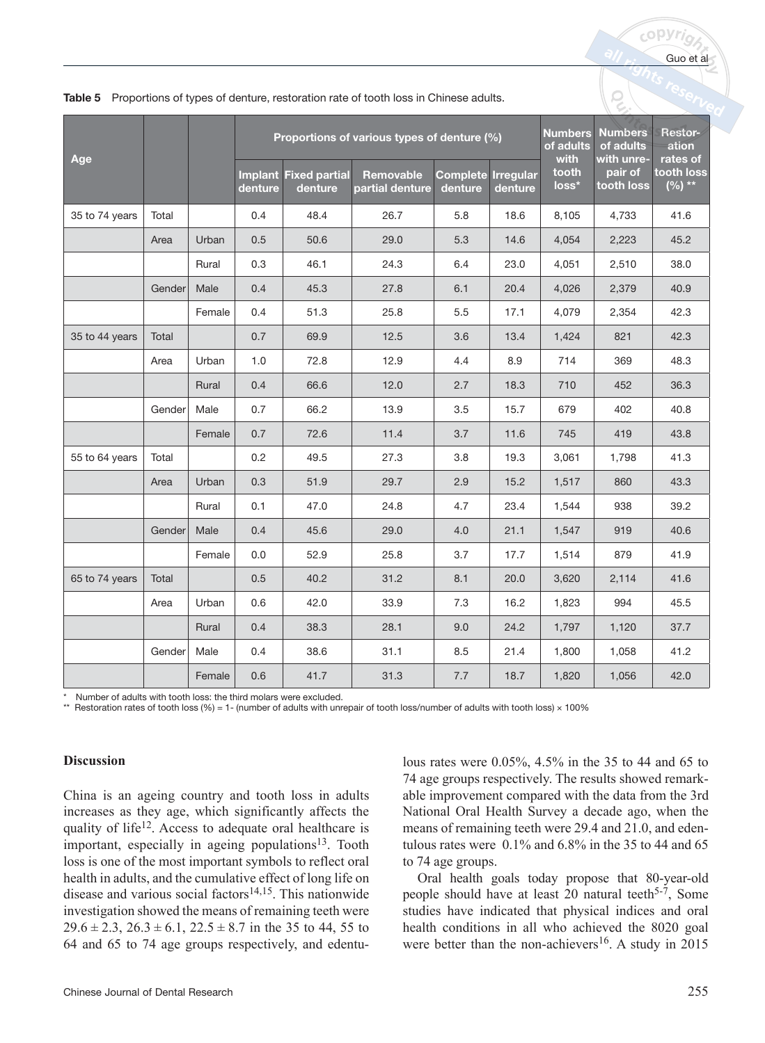| Age            |        |        |         |                                         | Proportions of various types of denture (%) | <b>Numbers</b><br>of adults<br>with  | <b>Numbers</b><br>of adults<br>with unre- | Restor-<br>ation<br>rates of |                       |                         |
|----------------|--------|--------|---------|-----------------------------------------|---------------------------------------------|--------------------------------------|-------------------------------------------|------------------------------|-----------------------|-------------------------|
|                |        |        | denture | <b>Implant Fixed partial</b><br>denture | <b>Removable</b><br>partial denture         | <b>Complete Irregular</b><br>denture | denture                                   | tooth<br>loss*               | pair of<br>tooth loss | tooth loss<br>$(\%)$ ** |
| 35 to 74 years | Total  |        | 0.4     | 48.4                                    | 26.7                                        | 5.8                                  | 18.6                                      | 8,105                        | 4,733                 | 41.6                    |
|                | Area   | Urban  | 0.5     | 50.6                                    | 29.0                                        | 5.3                                  | 14.6                                      | 4,054                        | 2,223                 | 45.2                    |
|                |        | Rural  | 0.3     | 46.1                                    | 24.3                                        | 6.4                                  | 23.0                                      | 4,051                        | 2,510                 | 38.0                    |
|                | Gender | Male   | 0.4     | 45.3                                    | 27.8                                        | 6.1                                  | 20.4                                      | 4,026                        | 2,379                 | 40.9                    |
|                |        | Female | 0.4     | 51.3                                    | 25.8                                        | 5.5                                  | 17.1                                      | 4,079                        | 2,354                 | 42.3                    |
| 35 to 44 years | Total  |        | 0.7     | 69.9                                    | 12.5                                        | 3.6                                  | 13.4                                      | 1,424                        | 821                   | 42.3                    |
|                | Area   | Urban  | 1.0     | 72.8                                    | 12.9                                        | 4.4                                  | 8.9                                       | 714                          | 369                   | 48.3                    |
|                |        | Rural  | 0.4     | 66.6                                    | 12.0                                        | 2.7                                  | 18.3                                      | 710                          | 452                   | 36.3                    |
|                | Gender | Male   | 0.7     | 66.2                                    | 13.9                                        | 3.5                                  | 15.7                                      | 679                          | 402                   | 40.8                    |
|                |        | Female | 0.7     | 72.6                                    | 11.4                                        | 3.7                                  | 11.6                                      | 745                          | 419                   | 43.8                    |
| 55 to 64 years | Total  |        | 0.2     | 49.5                                    | 27.3                                        | 3.8                                  | 19.3                                      | 3,061                        | 1,798                 | 41.3                    |
|                | Area   | Urban  | 0.3     | 51.9                                    | 29.7                                        | 2.9                                  | 15.2                                      | 1,517                        | 860                   | 43.3                    |
|                |        | Rural  | 0.1     | 47.0                                    | 24.8                                        | 4.7                                  | 23.4                                      | 1,544                        | 938                   | 39.2                    |
|                | Gender | Male   | 0.4     | 45.6                                    | 29.0                                        | 4.0                                  | 21.1                                      | 1,547                        | 919                   | 40.6                    |
|                |        | Female | 0.0     | 52.9                                    | 25.8                                        | 3.7                                  | 17.7                                      | 1,514                        | 879                   | 41.9                    |
| 65 to 74 years | Total  |        | 0.5     | 40.2                                    | 31.2                                        | 8.1                                  | 20.0                                      | 3,620                        | 2,114                 | 41.6                    |
|                | Area   | Urban  | 0.6     | 42.0                                    | 33.9                                        | 7.3                                  | 16.2                                      | 1,823                        | 994                   | 45.5                    |
|                |        | Rural  | 0.4     | 38.3                                    | 28.1                                        | 9.0                                  | 24.2                                      | 1,797                        | 1,120                 | 37.7                    |
|                | Gender | Male   | 0.4     | 38.6                                    | 31.1                                        | 8.5                                  | 21.4                                      | 1,800                        | 1,058                 | 41.2                    |
|                |        | Female | 0.6     | 41.7                                    | 31.3                                        | 7.7                                  | 18.7                                      | 1,820                        | 1,056                 | 42.0                    |

|  | Table 5 Proportions of types of denture, restoration rate of tooth loss in Chinese adults. |
|--|--------------------------------------------------------------------------------------------|
|  |                                                                                            |

Number of adults with tooth loss: the third molars were excluded.

Restoration rates of tooth loss (%) = 1- (number of adults with unrepair of tooth loss/number of adults with tooth loss) × 100%

#### **Discussion**

China is an ageing country and tooth loss in adults increases as they age, which significantly affects the quality of life<sup>12</sup>. Access to adequate oral healthcare is important, especially in ageing populations $13$ . Tooth loss is one of the most important symbols to reflect oral health in adults, and the cumulative effect of long life on disease and various social factors<sup>14,15</sup>. This nationwide investigation showed the means of remaining teeth were  $29.6 \pm 2.3$ ,  $26.3 \pm 6.1$ ,  $22.5 \pm 8.7$  in the 35 to 44, 55 to 64 and 65 to 74 age groups respectively, and edentulous rates were 0.05%, 4.5% in the 35 to 44 and 65 to 74 age groups respectively. The results showed remarkable improvement compared with the data from the 3rd National Oral Health Survey a decade ago, when the means of remaining teeth were 29.4 and 21.0, and edentulous rates were  $0.1\%$  and  $6.8\%$  in the 35 to 44 and 65 to 74 age groups.

Oral health goals today propose that 80-year-old people should have at least 20 natural teeth<sup>5-7</sup>, Some studies have indicated that physical indices and oral health conditions in all who achieved the 8020 goal were better than the non-achievers<sup>16</sup>. A study in 2015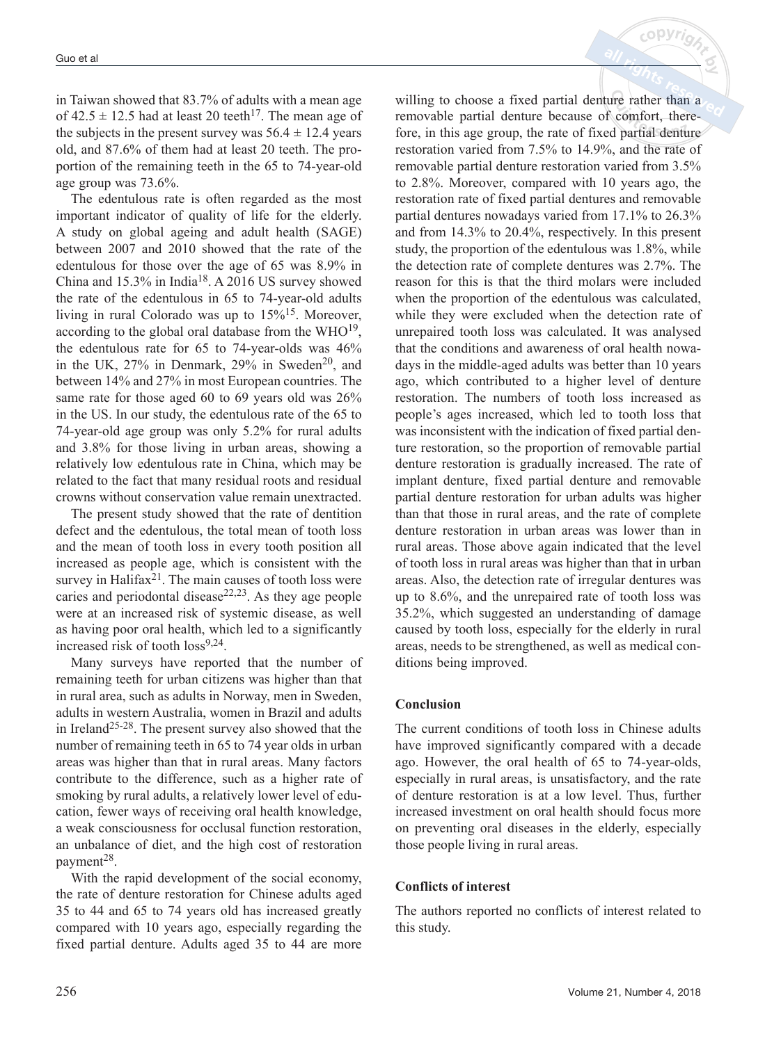in Taiwan showed that 83.7% of adults with a mean age of  $42.5 \pm 12.5$  had at least 20 teeth<sup>17</sup>. The mean age of the subjects in the present survey was  $56.4 \pm 12.4$  years old, and 87.6% of them had at least 20 teeth. The proportion of the remaining teeth in the 65 to 74-year-old age group was 73.6%.

The edentulous rate is often regarded as the most important indicator of quality of life for the elderly. A study on global ageing and adult health (SAGE) between 2007 and 2010 showed that the rate of the edentulous for those over the age of 65 was 8.9% in China and 15.3% in India18. A 2016 US survey showed the rate of the edentulous in 65 to 74-year-old adults living in rural Colorado was up to  $15\%$ <sup>15</sup>. Moreover, according to the global oral database from the  $WHO<sup>19</sup>$ , the edentulous rate for 65 to 74-year-olds was 46% in the UK,  $27\%$  in Denmark,  $29\%$  in Sweden<sup>20</sup>, and between 14% and 27% in most European countries. The same rate for those aged 60 to 69 years old was 26% in the US. In our study, the edentulous rate of the 65 to 74-year-old age group was only 5.2% for rural adults and 3.8% for those living in urban areas, showing a relatively low edentulous rate in China, which may be related to the fact that many residual roots and residual crowns without conservation value remain unextracted.

The present study showed that the rate of dentition defect and the edentulous, the total mean of tooth loss and the mean of tooth loss in every tooth position all increased as people age, which is consistent with the survey in Halifax<sup>21</sup>. The main causes of tooth loss were caries and periodontal disease<sup>22,23</sup>. As they age people were at an increased risk of systemic disease, as well as having poor oral health, which led to a significantly increased risk of tooth  $loss^{9,24}$ .

Many surveys have reported that the number of remaining teeth for urban citizens was higher than that in rural area, such as adults in Norway, men in Sweden, adults in western Australia, women in Brazil and adults in Ireland25-28. The present survey also showed that the number of remaining teeth in 65 to 74 year olds in urban areas was higher than that in rural areas. Many factors contribute to the difference, such as a higher rate of smoking by rural adults, a relatively lower level of education, fewer ways of receiving oral health knowledge, a weak consciousness for occlusal function restoration, an unbalance of diet, and the high cost of restoration payment<sup>28</sup>.

With the rapid development of the social economy, the rate of denture restoration for Chinese adults aged 35 to 44 and 65 to 74 years old has increased greatly compared with 10 years ago, especially regarding the fixed partial denture. Adults aged 35 to 44 are more willing to choose a fixed partial denture rather than a removable partial denture because of comfort, therefore, in this age group, the rate of fixed partial denture restoration varied from 7.5% to 14.9%, and the rate of removable partial denture restoration varied from 3.5% to 2.8%. Moreover, compared with 10 years ago, the restoration rate of fixed partial dentures and removable partial dentures nowadays varied from 17.1% to 26.3% and from 14.3% to 20.4%, respectively. In this present study, the proportion of the edentulous was 1.8%, while the detection rate of complete dentures was 2.7%. The reason for this is that the third molars were included when the proportion of the edentulous was calculated. while they were excluded when the detection rate of unrepaired tooth loss was calculated. It was analysed that the conditions and awareness of oral health nowadays in the middle-aged adults was better than 10 years ago, which contributed to a higher level of denture restoration. The numbers of tooth loss increased as people's ages increased, which led to tooth loss that was inconsistent with the indication of fixed partial denture restoration, so the proportion of removable partial denture restoration is gradually increased. The rate of implant denture, fixed partial denture and removable partial denture restoration for urban adults was higher than that those in rural areas, and the rate of complete denture restoration in urban areas was lower than in rural areas. Those above again indicated that the level of tooth loss in rural areas was higher than that in urban areas. Also, the detection rate of irregular dentures was up to 8.6%, and the unrepaired rate of tooth loss was 35.2%, which suggested an understanding of damage caused by tooth loss, especially for the elderly in rural areas, needs to be strengthened, as well as medical conditions being improved.

 $c$  op  $Vr$ 

## **Conclusion**

The current conditions of tooth loss in Chinese adults have improved significantly compared with a decade ago. However, the oral health of 65 to 74-year-olds, especially in rural areas, is unsatisfactory, and the rate of denture restoration is at a low level. Thus, further increased investment on oral health should focus more on preventing oral diseases in the elderly, especially those people living in rural areas.

## **Conflicts of interest**

The authors reported no conflicts of interest related to this study.